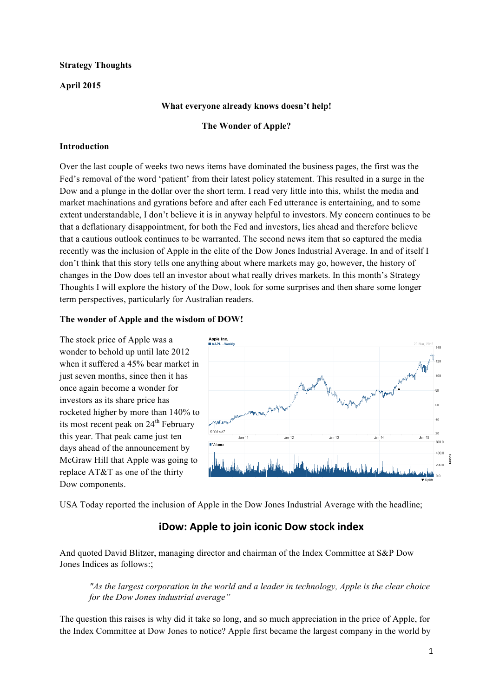## **Strategy Thoughts**

## **April 2015**

## **What everyone already knows doesn't help!**

#### **The Wonder of Apple?**

## **Introduction**

Over the last couple of weeks two news items have dominated the business pages, the first was the Fed's removal of the word 'patient' from their latest policy statement. This resulted in a surge in the Dow and a plunge in the dollar over the short term. I read very little into this, whilst the media and market machinations and gyrations before and after each Fed utterance is entertaining, and to some extent understandable, I don't believe it is in anyway helpful to investors. My concern continues to be that a deflationary disappointment, for both the Fed and investors, lies ahead and therefore believe that a cautious outlook continues to be warranted. The second news item that so captured the media recently was the inclusion of Apple in the elite of the Dow Jones Industrial Average. In and of itself I don't think that this story tells one anything about where markets may go, however, the history of changes in the Dow does tell an investor about what really drives markets. In this month's Strategy Thoughts I will explore the history of the Dow, look for some surprises and then share some longer term perspectives, particularly for Australian readers.

#### **The wonder of Apple and the wisdom of DOW!**

The stock price of Apple was a wonder to behold up until late 2012 when it suffered a 45% bear market in just seven months, since then it has once again become a wonder for investors as its share price has rocketed higher by more than 140% to its most recent peak on  $24<sup>th</sup>$  February this year. That peak came just ten days ahead of the announcement by McGraw Hill that Apple was going to replace AT&T as one of the thirty Dow components.



USA Today reported the inclusion of Apple in the Dow Jones Industrial Average with the headline;

# **iDow: Apple to join iconic Dow stock index**

And quoted David Blitzer, managing director and chairman of the Index Committee at S&P Dow Jones Indices as follows:;

*"As the largest corporation in the world and a leader in technology, Apple is the clear choice for the Dow Jones industrial average"*

The question this raises is why did it take so long, and so much appreciation in the price of Apple, for the Index Committee at Dow Jones to notice? Apple first became the largest company in the world by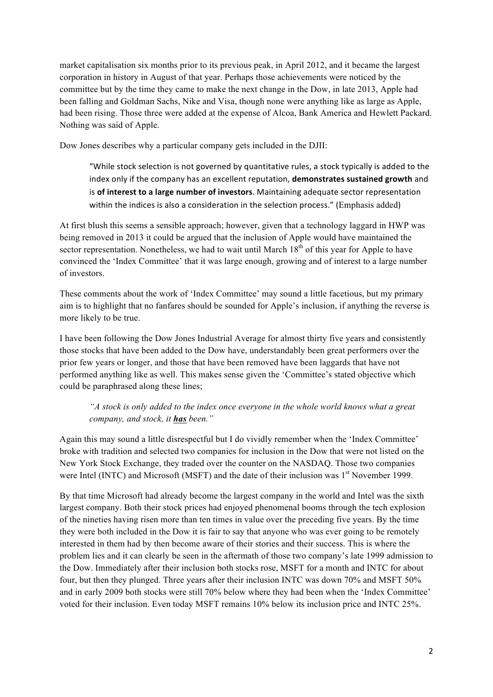market capitalisation six months prior to its previous peak, in April 2012, and it became the largest corporation in history in August of that year. Perhaps those achievements were noticed by the committee but by the time they came to make the next change in the Dow, in late 2013, Apple had been falling and Goldman Sachs, Nike and Visa, though none were anything like as large as Apple, had been rising. Those three were added at the expense of Alcoa, Bank America and Hewlett Packard. Nothing was said of Apple.

Dow Jones describes why a particular company gets included in the DJII:

"While stock selection is not governed by quantitative rules, a stock typically is added to the index only if the company has an excellent reputation, **demonstrates sustained growth** and is of interest to a large number of investors. Maintaining adequate sector representation within the indices is also a consideration in the selection process." (Emphasis added)

At first blush this seems a sensible approach; however, given that a technology laggard in HWP was being removed in 2013 it could be argued that the inclusion of Apple would have maintained the sector representation. Nonetheless, we had to wait until March 18<sup>th</sup> of this year for Apple to have convinced the 'Index Committee' that it was large enough, growing and of interest to a large number of investors.

These comments about the work of 'Index Committee' may sound a little facetious, but my primary aim is to highlight that no fanfares should be sounded for Apple's inclusion, if anything the reverse is more likely to be true.

I have been following the Dow Jones Industrial Average for almost thirty five years and consistently those stocks that have been added to the Dow have, understandably been great performers over the prior few years or longer, and those that have been removed have been laggards that have not performed anything like as well. This makes sense given the 'Committee's stated objective which could be paraphrased along these lines;

*"A stock is only added to the index once everyone in the whole world knows what a great company, and stock, it has been."*

Again this may sound a little disrespectful but I do vividly remember when the 'Index Committee' broke with tradition and selected two companies for inclusion in the Dow that were not listed on the New York Stock Exchange, they traded over the counter on the NASDAQ. Those two companies were Intel (INTC) and Microsoft (MSFT) and the date of their inclusion was 1<sup>st</sup> November 1999.

By that time Microsoft had already become the largest company in the world and Intel was the sixth largest company. Both their stock prices had enjoyed phenomenal booms through the tech explosion of the nineties having risen more than ten times in value over the preceding five years. By the time they were both included in the Dow it is fair to say that anyone who was ever going to be remotely interested in them had by then become aware of their stories and their success. This is where the problem lies and it can clearly be seen in the aftermath of those two company's late 1999 admission to the Dow. Immediately after their inclusion both stocks rose, MSFT for a month and INTC for about four, but then they plunged. Three years after their inclusion INTC was down 70% and MSFT 50% and in early 2009 both stocks were still 70% below where they had been when the 'Index Committee' voted for their inclusion. Even today MSFT remains 10% below its inclusion price and INTC 25%.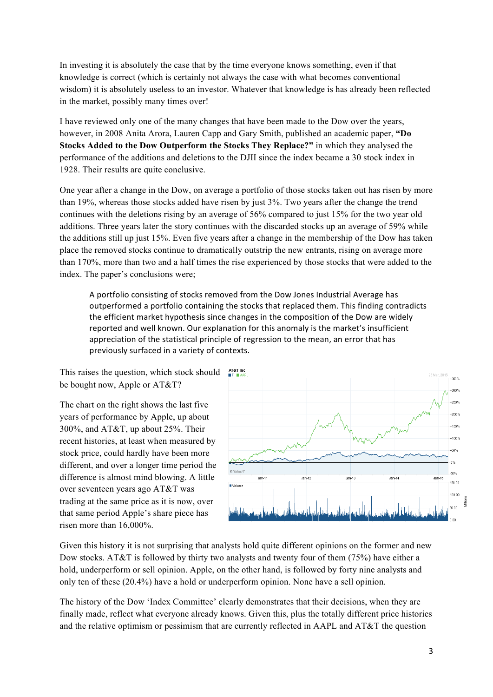In investing it is absolutely the case that by the time everyone knows something, even if that knowledge is correct (which is certainly not always the case with what becomes conventional wisdom) it is absolutely useless to an investor. Whatever that knowledge is has already been reflected in the market, possibly many times over!

I have reviewed only one of the many changes that have been made to the Dow over the years, however, in 2008 Anita Arora, Lauren Capp and Gary Smith, published an academic paper, **"Do Stocks Added to the Dow Outperform the Stocks They Replace?"** in which they analysed the performance of the additions and deletions to the DJII since the index became a 30 stock index in 1928. Their results are quite conclusive.

One year after a change in the Dow, on average a portfolio of those stocks taken out has risen by more than 19%, whereas those stocks added have risen by just 3%. Two years after the change the trend continues with the deletions rising by an average of 56% compared to just 15% for the two year old additions. Three years later the story continues with the discarded stocks up an average of 59% while the additions still up just 15%. Even five years after a change in the membership of the Dow has taken place the removed stocks continue to dramatically outstrip the new entrants, rising on average more than 170%, more than two and a half times the rise experienced by those stocks that were added to the index. The paper's conclusions were;

A portfolio consisting of stocks removed from the Dow Jones Industrial Average has outperformed a portfolio containing the stocks that replaced them. This finding contradicts the efficient market hypothesis since changes in the composition of the Dow are widely reported and well known. Our explanation for this anomaly is the market's insufficient appreciation of the statistical principle of regression to the mean, an error that has previously surfaced in a variety of contexts.

This raises the question, which stock should be bought now, Apple or AT&T?

The chart on the right shows the last five years of performance by Apple, up about 300%, and AT&T, up about 25%. Their recent histories, at least when measured by stock price, could hardly have been more different, and over a longer time period the difference is almost mind blowing. A little over seventeen years ago AT&T was trading at the same price as it is now, over that same period Apple's share piece has risen more than 16,000%.



Given this history it is not surprising that analysts hold quite different opinions on the former and new Dow stocks. AT&T is followed by thirty two analysts and twenty four of them (75%) have either a hold, underperform or sell opinion. Apple, on the other hand, is followed by forty nine analysts and only ten of these (20.4%) have a hold or underperform opinion. None have a sell opinion.

The history of the Dow 'Index Committee' clearly demonstrates that their decisions, when they are finally made, reflect what everyone already knows. Given this, plus the totally different price histories and the relative optimism or pessimism that are currently reflected in AAPL and AT&T the question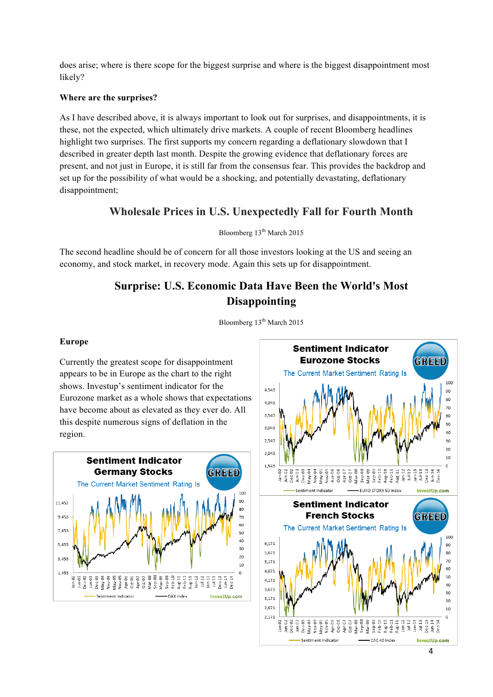does arise; where is there scope for the biggest surprise and where is the biggest disappointment most likely?

#### **Where are the surprises?**

As I have described above, it is always important to look out for surprises, and disappointments, it is these, not the expected, which ultimately drive markets. A couple of recent Bloomberg headlines highlight two surprises. The first supports my concern regarding a deflationary slowdown that I described in greater depth last month. Despite the growing evidence that deflationary forces are present, and not just in Europe, it is still far from the consensus fear. This provides the backdrop and set up for the possibility of what would be a shocking, and potentially devastating, deflationary disappointment;

# **Wholesale Prices in U.S. Unexpectedly Fall for Fourth Month**

#### Bloomberg  $13<sup>th</sup>$  March 2015

The second headline should be of concern for all those investors looking at the US and seeing an economy, and stock market, in recovery mode. Again this sets up for disappointment.

# **Surprise: U.S. Economic Data Have Been the World's Most Disappointing**



Bloomberg 13<sup>th</sup> March 2015

## **Europe**

region.

**Sentiment Indicator Germany Stocks** GREED The Current Market Sentiment Rating Is an 11,453 9.453  $70^{1}$ 60 7,453 50 40 5,453 30  $20$ 3.453 10 1.453  $\circ$ Dec 13<br>Jun-14<br>Dec 14 Β  $ul-12$  $Jan-13$ Vlay-04  $1u - 13$  $rac{1}{2}$ Feb-1 흥 ş √ਛੇ ė ģ ė InvestUp.com Sentiment Indicator DAX Index

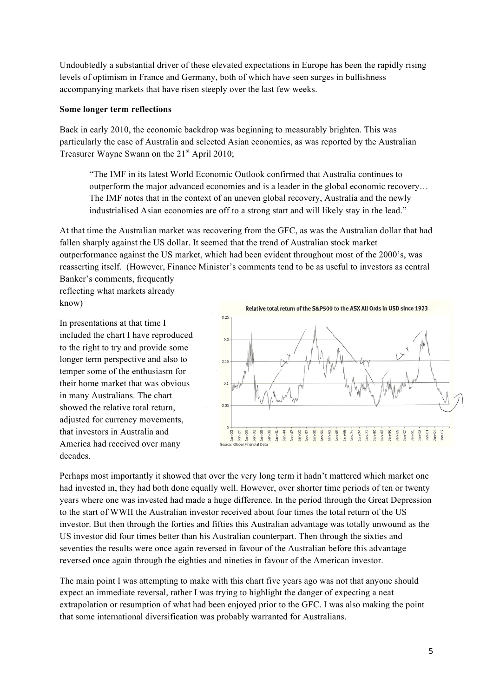Undoubtedly a substantial driver of these elevated expectations in Europe has been the rapidly rising levels of optimism in France and Germany, both of which have seen surges in bullishness accompanying markets that have risen steeply over the last few weeks.

## **Some longer term reflections**

Back in early 2010, the economic backdrop was beginning to measurably brighten. This was particularly the case of Australia and selected Asian economies, as was reported by the Australian Treasurer Wayne Swann on the  $21<sup>st</sup>$  April 2010;

"The IMF in its latest World Economic Outlook confirmed that Australia continues to outperform the major advanced economies and is a leader in the global economic recovery… The IMF notes that in the context of an uneven global recovery, Australia and the newly industrialised Asian economies are off to a strong start and will likely stay in the lead."

At that time the Australian market was recovering from the GFC, as was the Australian dollar that had fallen sharply against the US dollar. It seemed that the trend of Australian stock market outperformance against the US market, which had been evident throughout most of the 2000's, was reasserting itself. (However, Finance Minister's comments tend to be as useful to investors as central

Banker's comments, frequently reflecting what markets already know)

In presentations at that time I included the chart I have reproduced to the right to try and provide some longer term perspective and also to temper some of the enthusiasm for their home market that was obvious in many Australians. The chart showed the relative total return, adjusted for currency movements, that investors in Australia and America had received over many decades.



Perhaps most importantly it showed that over the very long term it hadn't mattered which market one had invested in, they had both done equally well. However, over shorter time periods of ten or twenty years where one was invested had made a huge difference. In the period through the Great Depression to the start of WWII the Australian investor received about four times the total return of the US investor. But then through the forties and fifties this Australian advantage was totally unwound as the US investor did four times better than his Australian counterpart. Then through the sixties and seventies the results were once again reversed in favour of the Australian before this advantage reversed once again through the eighties and nineties in favour of the American investor.

The main point I was attempting to make with this chart five years ago was not that anyone should expect an immediate reversal, rather I was trying to highlight the danger of expecting a neat extrapolation or resumption of what had been enjoyed prior to the GFC. I was also making the point that some international diversification was probably warranted for Australians.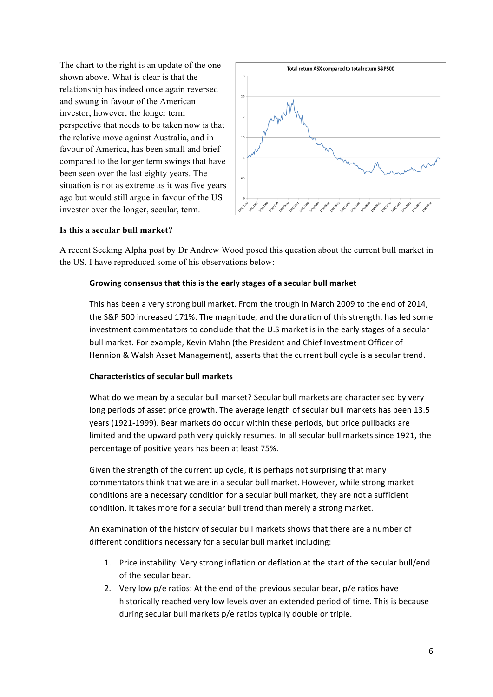The chart to the right is an update of the one shown above. What is clear is that the relationship has indeed once again reversed and swung in favour of the American investor, however, the longer term perspective that needs to be taken now is that the relative move against Australia, and in favour of America, has been small and brief compared to the longer term swings that have been seen over the last eighty years. The situation is not as extreme as it was five years ago but would still argue in favour of the US investor over the longer, secular, term.



#### **Is this a secular bull market?**

A recent Seeking Alpha post by Dr Andrew Wood posed this question about the current bull market in the US. I have reproduced some of his observations below:

#### Growing consensus that this is the early stages of a secular bull market

This has been a very strong bull market. From the trough in March 2009 to the end of 2014, the S&P 500 increased 171%. The magnitude, and the duration of this strength, has led some investment commentators to conclude that the U.S market is in the early stages of a secular bull market. For example, Kevin Mahn (the President and Chief Investment Officer of Hennion & Walsh Asset Management), asserts that the current bull cycle is a secular trend.

#### **Characteristics of secular bull markets**

What do we mean by a secular bull market? Secular bull markets are characterised by very long periods of asset price growth. The average length of secular bull markets has been 13.5 years (1921-1999). Bear markets do occur within these periods, but price pullbacks are limited and the upward path very quickly resumes. In all secular bull markets since 1921, the percentage of positive years has been at least 75%.

Given the strength of the current up cycle, it is perhaps not surprising that many commentators think that we are in a secular bull market. However, while strong market conditions are a necessary condition for a secular bull market, they are not a sufficient condition. It takes more for a secular bull trend than merely a strong market.

An examination of the history of secular bull markets shows that there are a number of different conditions necessary for a secular bull market including:

- 1. Price instability: Very strong inflation or deflation at the start of the secular bull/end of the secular bear.
- 2. Very low p/e ratios: At the end of the previous secular bear,  $p/e$  ratios have historically reached very low levels over an extended period of time. This is because during secular bull markets p/e ratios typically double or triple.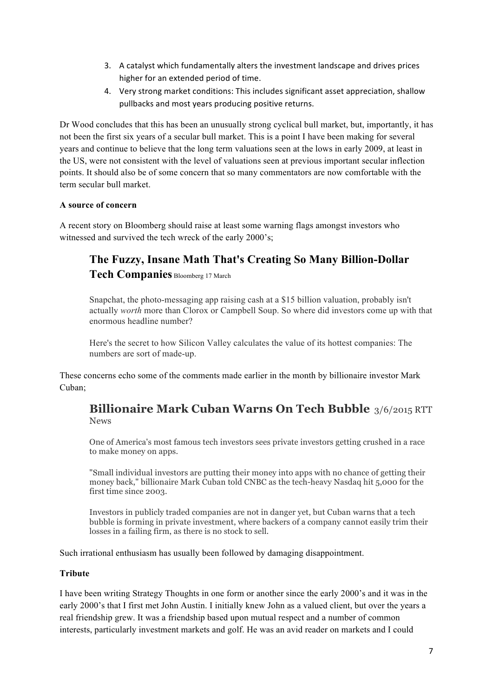- 3. A catalyst which fundamentally alters the investment landscape and drives prices higher for an extended period of time.
- 4. Very strong market conditions: This includes significant asset appreciation, shallow pullbacks and most years producing positive returns.

Dr Wood concludes that this has been an unusually strong cyclical bull market, but, importantly, it has not been the first six years of a secular bull market. This is a point I have been making for several years and continue to believe that the long term valuations seen at the lows in early 2009, at least in the US, were not consistent with the level of valuations seen at previous important secular inflection points. It should also be of some concern that so many commentators are now comfortable with the term secular bull market.

## **A source of concern**

A recent story on Bloomberg should raise at least some warning flags amongst investors who witnessed and survived the tech wreck of the early 2000's;

# **The Fuzzy, Insane Math That's Creating So Many Billion-Dollar**

**Tech Companies** Bloomberg 17 March

Snapchat, the photo-messaging app raising cash at a \$15 billion valuation, probably isn't actually *worth* more than Clorox or Campbell Soup. So where did investors come up with that enormous headline number?

Here's the secret to how Silicon Valley calculates the value of its hottest companies: The numbers are sort of made-up.

These concerns echo some of the comments made earlier in the month by billionaire investor Mark Cuban;

# **Billionaire Mark Cuban Warns On Tech Bubble** 3/6/2015 RTT News

One of America's most famous tech investors sees private investors getting crushed in a race to make money on apps.

"Small individual investors are putting their money into apps with no chance of getting their money back," billionaire Mark Cuban told CNBC as the tech-heavy Nasdaq hit 5,000 for the first time since 2003.

Investors in publicly traded companies are not in danger yet, but Cuban warns that a tech bubble is forming in private investment, where backers of a company cannot easily trim their losses in a failing firm, as there is no stock to sell.

Such irrational enthusiasm has usually been followed by damaging disappointment.

#### **Tribute**

I have been writing Strategy Thoughts in one form or another since the early 2000's and it was in the early 2000's that I first met John Austin. I initially knew John as a valued client, but over the years a real friendship grew. It was a friendship based upon mutual respect and a number of common interests, particularly investment markets and golf. He was an avid reader on markets and I could